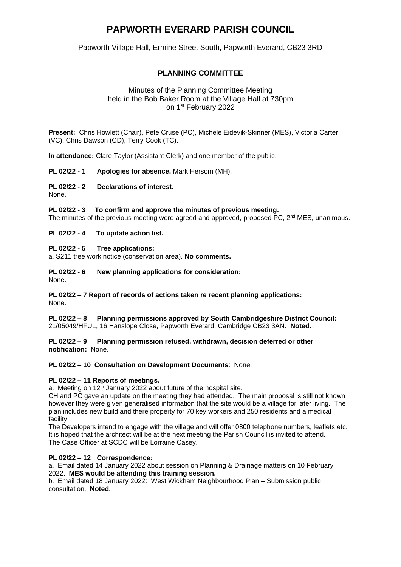# **PAPWORTH EVERARD PARISH COUNCIL**

Papworth Village Hall, Ermine Street South, Papworth Everard, CB23 3RD

# **PLANNING COMMITTEE**

# Minutes of the Planning Committee Meeting held in the Bob Baker Room at the Village Hall at 730pm on 1<sup>st</sup> February 2022

**Present:** Chris Howlett (Chair), Pete Cruse (PC), Michele Eidevik-Skinner (MES), Victoria Carter (VC), Chris Dawson (CD), Terry Cook (TC).

**In attendance:** Clare Taylor (Assistant Clerk) and one member of the public.

**PL 02/22 - 1 Apologies for absence.** Mark Hersom (MH).

# **PL 02/22 - 2 Declarations of interest.**

None.

#### **PL 02/22 - 3 To confirm and approve the minutes of previous meeting.**

The minutes of the previous meeting were agreed and approved, proposed  $\overline{PC}$ ,  $2^{nd}$  MES, unanimous.

#### **PL 02/22 - 4 To update action list.**

#### **PL 02/22 - 5 Tree applications:**

a. S211 tree work notice (conservation area). **No comments.**

#### **PL 02/22 - 6 New planning applications for consideration:**

None.

#### **PL 02/22 – 7 Report of records of actions taken re recent planning applications:**  None.

**PL 02/22 – 8 Planning permissions approved by South Cambridgeshire District Council:**  21/05049/HFUL, 16 Hanslope Close, Papworth Everard, Cambridge CB23 3AN. **Noted.**

#### **PL 02/22 – 9 Planning permission refused, withdrawn, decision deferred or other notification:** None.

# **PL 02/22 – 10 Consultation on Development Documents**: None.

# **PL 02/22 – 11 Reports of meetings.**

a. Meeting on  $12<sup>th</sup>$  January 2022 about future of the hospital site.

CH and PC gave an update on the meeting they had attended. The main proposal is still not known however they were given generalised information that the site would be a village for later living. The plan includes new build and there property for 70 key workers and 250 residents and a medical facility.

The Developers intend to engage with the village and will offer 0800 telephone numbers, leaflets etc. It is hoped that the architect will be at the next meeting the Parish Council is invited to attend. The Case Officer at SCDC will be Lorraine Casey.

# **PL 02/22 – 12 Correspondence:**

a. Email dated 14 January 2022 about session on Planning & Drainage matters on 10 February 2022. **MES would be attending this training session.**

b. Email dated 18 January 2022: West Wickham Neighbourhood Plan – Submission public consultation. **Noted.**